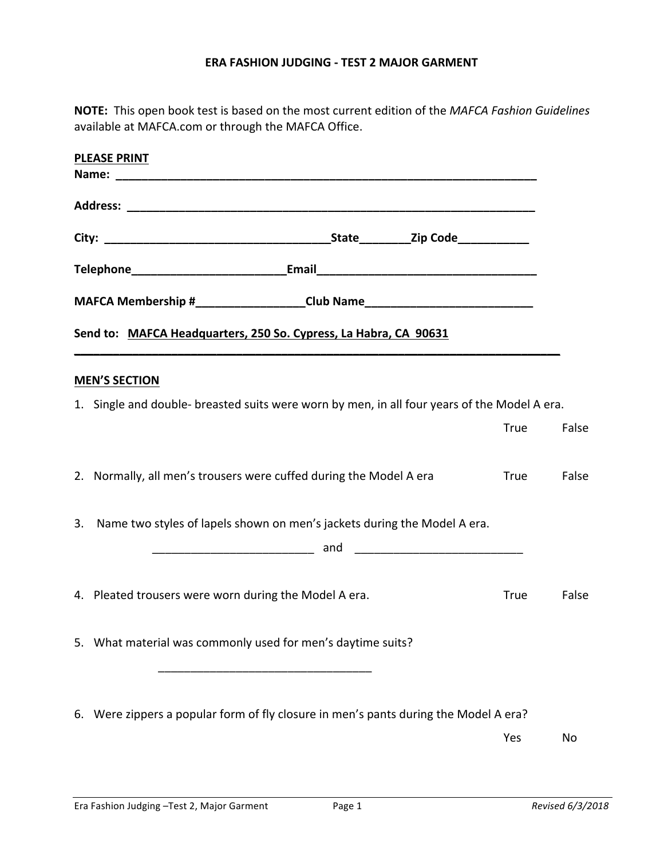## **ERA FASHION JUDGING - TEST 2 MAJOR GARMENT**

**NOTE:** This open book test is based on the most current edition of the *MAFCA Fashion Guidelines* available at MAFCA.com or through the MAFCA Office.

| <b>PLEASE PRINT</b> |                                                                                              |  |  |             |       |  |
|---------------------|----------------------------------------------------------------------------------------------|--|--|-------------|-------|--|
|                     |                                                                                              |  |  |             |       |  |
|                     |                                                                                              |  |  |             |       |  |
|                     |                                                                                              |  |  |             |       |  |
|                     |                                                                                              |  |  |             |       |  |
|                     | MAFCA Membership #____________________Club Name_________________________________             |  |  |             |       |  |
|                     | Send to: MAFCA Headquarters, 250 So. Cypress, La Habra, CA 90631                             |  |  |             |       |  |
|                     | <b>MEN'S SECTION</b>                                                                         |  |  |             |       |  |
|                     | 1. Single and double- breasted suits were worn by men, in all four years of the Model A era. |  |  |             |       |  |
|                     |                                                                                              |  |  | <b>True</b> | False |  |
|                     | 2. Normally, all men's trousers were cuffed during the Model A era                           |  |  | True        | False |  |
|                     | 3. Name two styles of lapels shown on men's jackets during the Model A era.                  |  |  |             |       |  |
|                     |                                                                                              |  |  |             |       |  |
|                     | 4. Pleated trousers were worn during the Model A era.                                        |  |  | <b>True</b> | False |  |
|                     | 5. What material was commonly used for men's daytime suits?                                  |  |  |             |       |  |
|                     |                                                                                              |  |  |             |       |  |
|                     | 6. Were zippers a popular form of fly closure in men's pants during the Model A era?         |  |  |             |       |  |
|                     |                                                                                              |  |  | Yes         | No    |  |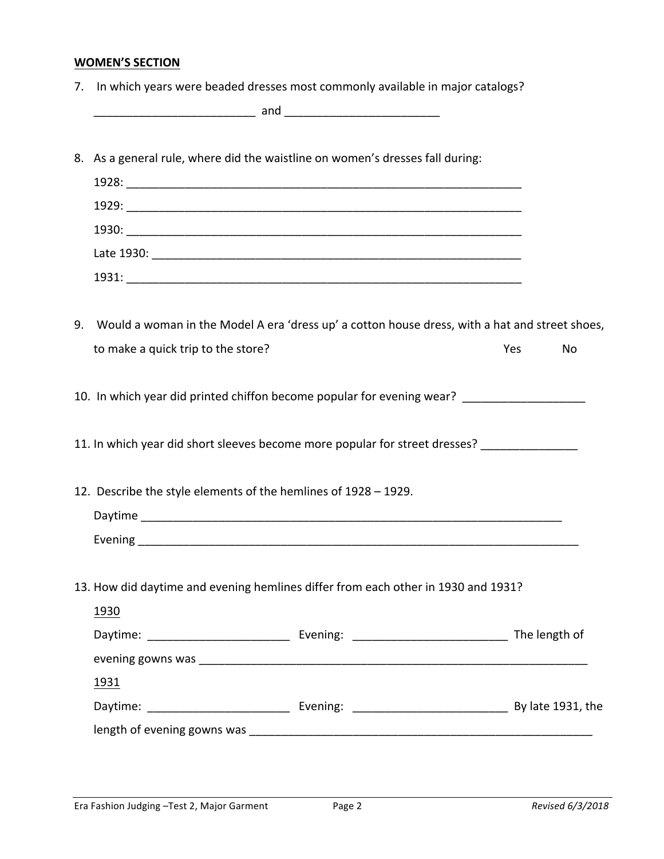## **WOMEN'S SECTION**

|    | 7. In which years were beaded dresses most commonly available in major catalogs?               |  |     |    |
|----|------------------------------------------------------------------------------------------------|--|-----|----|
|    | 8. As a general rule, where did the waistline on women's dresses fall during:                  |  |     |    |
|    |                                                                                                |  |     |    |
|    |                                                                                                |  |     |    |
|    |                                                                                                |  |     |    |
|    |                                                                                                |  |     |    |
|    |                                                                                                |  |     |    |
|    |                                                                                                |  |     |    |
| 9. | Would a woman in the Model A era 'dress up' a cotton house dress, with a hat and street shoes, |  |     |    |
|    | to make a quick trip to the store?                                                             |  | Yes | No |
|    |                                                                                                |  |     |    |
|    | 10. In which year did printed chiffon become popular for evening wear? ________________        |  |     |    |
|    |                                                                                                |  |     |    |
|    | 12. Describe the style elements of the hemlines of 1928 - 1929.                                |  |     |    |
|    |                                                                                                |  |     |    |
|    |                                                                                                |  |     |    |
|    |                                                                                                |  |     |    |
|    | 13. How did daytime and evening hemlines differ from each other in 1930 and 1931?              |  |     |    |
|    | 1930                                                                                           |  |     |    |
|    |                                                                                                |  |     |    |
|    |                                                                                                |  |     |    |
|    | 1931                                                                                           |  |     |    |
|    |                                                                                                |  |     |    |
|    |                                                                                                |  |     |    |